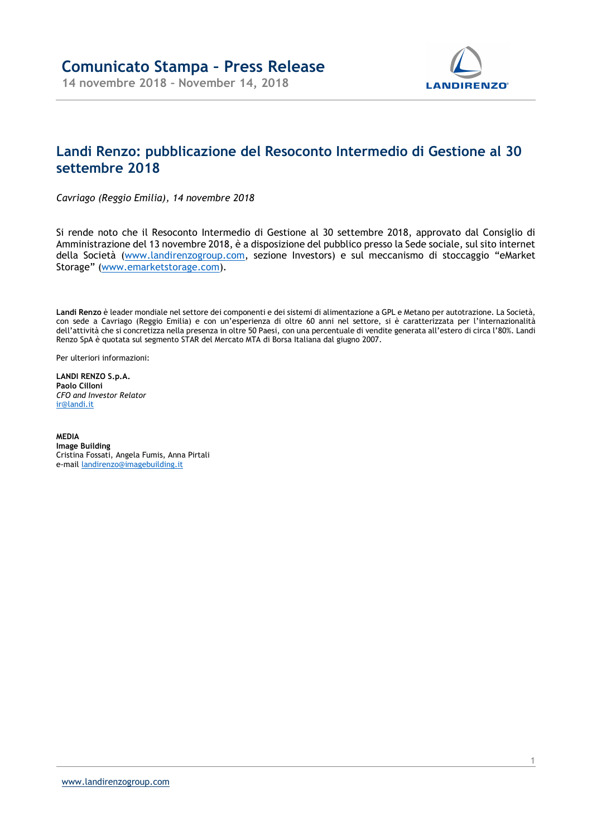

## Landi Renzo: pubblicazione del Resoconto Intermedio di Gestione al 30 settembre 2018

Cavriago (Reggio Emilia), 14 novembre 2018

Si rende noto che il Resoconto Intermedio di Gestione al 30 settembre 2018, approvato dal Consiglio di Amministrazione del 13 novembre 2018, è a disposizione del pubblico presso la Sede sociale, sul sito internet della Società (www.landirenzogroup.com, sezione Investors) e sul meccanismo di stoccaggio "eMarket Storage" (www.emarketstorage.com).

Landi Renzo è leader mondiale nel settore dei componenti e dei sistemi di alimentazione a GPL e Metano per autotrazione. La Società, con sede a Cavriago (Reggio Emilia) e con un'esperienza di oltre 60 anni nel settore, si è caratterizzata per l'internazionalità dell'attività che si concretizza nella presenza in oltre 50 Paesi, con una percentuale di vendite generata all'estero di circa l'80%. Landi Renzo SpA è quotata sul segmento STAR del Mercato MTA di Borsa Italiana dal giugno 2007.

Per ulteriori informazioni:

LANDI RENZO S.p.A. Paolo Cilloni CFO and Investor Relator ir@landi.it

MEDIA Image Building Cristina Fossati, Angela Fumis, Anna Pirtali e-mail landirenzo@imagebuilding.it